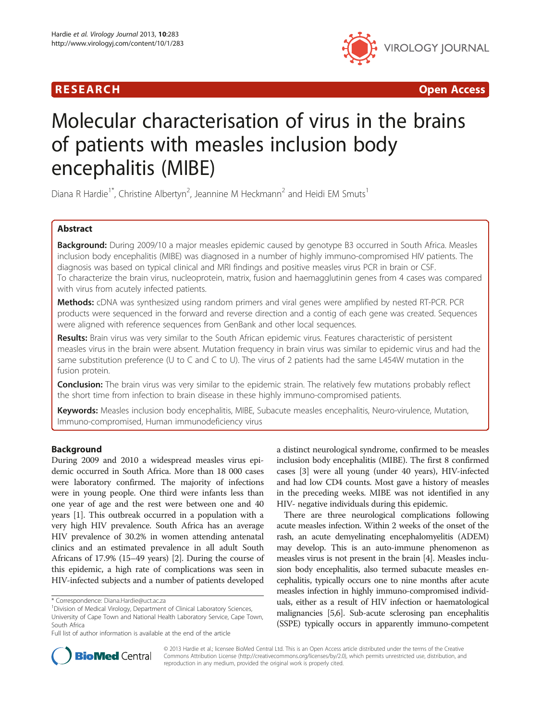



# Molecular characterisation of virus in the brains of patients with measles inclusion body encephalitis (MIBE)

Diana R Hardie<sup>1\*</sup>, Christine Albertyn<sup>2</sup>, Jeannine M Heckmann<sup>2</sup> and Heidi EM Smuts<sup>1</sup>

# Abstract

Background: During 2009/10 a major measles epidemic caused by genotype B3 occurred in South Africa. Measles inclusion body encephalitis (MIBE) was diagnosed in a number of highly immuno-compromised HIV patients. The diagnosis was based on typical clinical and MRI findings and positive measles virus PCR in brain or CSF. To characterize the brain virus, nucleoprotein, matrix, fusion and haemagglutinin genes from 4 cases was compared with virus from acutely infected patients.

Methods: cDNA was synthesized using random primers and viral genes were amplified by nested RT-PCR. PCR products were sequenced in the forward and reverse direction and a contig of each gene was created. Sequences were aligned with reference sequences from GenBank and other local sequences.

Results: Brain virus was very similar to the South African epidemic virus. Features characteristic of persistent measles virus in the brain were absent. Mutation frequency in brain virus was similar to epidemic virus and had the same substitution preference (U to C and C to U). The virus of 2 patients had the same L454W mutation in the fusion protein.

**Conclusion:** The brain virus was very similar to the epidemic strain. The relatively few mutations probably reflect the short time from infection to brain disease in these highly immuno-compromised patients.

Keywords: Measles inclusion body encephalitis, MIBE, Subacute measles encephalitis, Neuro-virulence, Mutation, Immuno-compromised, Human immunodeficiency virus

# Background

During 2009 and 2010 a widespread measles virus epidemic occurred in South Africa. More than 18 000 cases were laboratory confirmed. The majority of infections were in young people. One third were infants less than one year of age and the rest were between one and 40 years [[1\]](#page-8-0). This outbreak occurred in a population with a very high HIV prevalence. South Africa has an average HIV prevalence of 30.2% in women attending antenatal clinics and an estimated prevalence in all adult South Africans of 17.9% (15–49 years) [\[2](#page-8-0)]. During the course of this epidemic, a high rate of complications was seen in HIV-infected subjects and a number of patients developed

a distinct neurological syndrome, confirmed to be measles inclusion body encephalitis (MIBE). The first 8 confirmed cases [[3](#page-8-0)] were all young (under 40 years), HIV-infected and had low CD4 counts. Most gave a history of measles in the preceding weeks. MIBE was not identified in any HIV- negative individuals during this epidemic.

There are three neurological complications following acute measles infection. Within 2 weeks of the onset of the rash, an acute demyelinating encephalomyelitis (ADEM) may develop. This is an auto-immune phenomenon as measles virus is not present in the brain [\[4\]](#page-8-0). Measles inclusion body encephalitis, also termed subacute measles encephalitis, typically occurs one to nine months after acute measles infection in highly immuno-compromised individuals, either as a result of HIV infection or haematological malignancies [\[5,6\]](#page-8-0). Sub-acute sclerosing pan encephalitis (SSPE) typically occurs in apparently immuno-competent



© 2013 Hardie et al.; licensee BioMed Central Ltd. This is an Open Access article distributed under the terms of the Creative Commons Attribution License [\(http://creativecommons.org/licenses/by/2.0\)](http://creativecommons.org/licenses/by/2.0), which permits unrestricted use, distribution, and reproduction in any medium, provided the original work is properly cited.

<sup>\*</sup> Correspondence: [Diana.Hardie@uct.ac.za](mailto:Diana.Hardie@uct.ac.za) <sup>1</sup>

<sup>&</sup>lt;sup>1</sup> Division of Medical Virology, Department of Clinical Laboratory Sciences, University of Cape Town and National Health Laboratory Service, Cape Town, South Africa

Full list of author information is available at the end of the article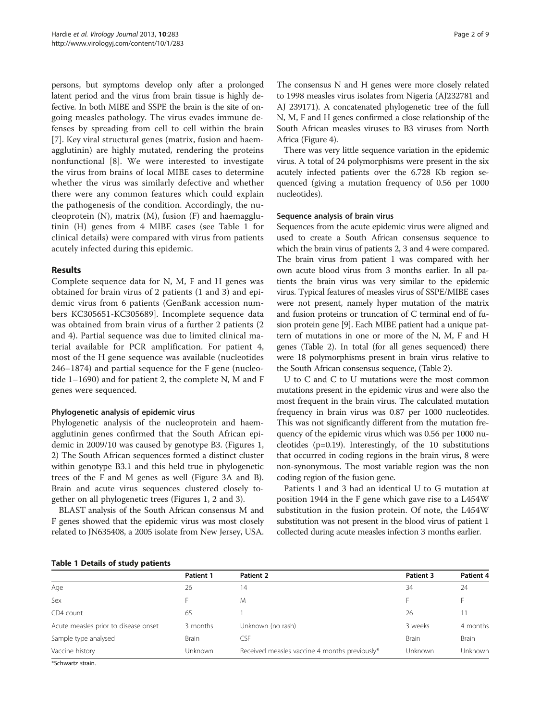persons, but symptoms develop only after a prolonged latent period and the virus from brain tissue is highly defective. In both MIBE and SSPE the brain is the site of ongoing measles pathology. The virus evades immune defenses by spreading from cell to cell within the brain [[7\]](#page-8-0). Key viral structural genes (matrix, fusion and haemagglutinin) are highly mutated, rendering the proteins nonfunctional [[8](#page-8-0)]. We were interested to investigate the virus from brains of local MIBE cases to determine whether the virus was similarly defective and whether there were any common features which could explain the pathogenesis of the condition. Accordingly, the nucleoprotein  $(N)$ , matrix  $(M)$ , fusion  $(F)$  and haemagglutinin (H) genes from 4 MIBE cases (see Table 1 for clinical details) were compared with virus from patients acutely infected during this epidemic.

# Results

Complete sequence data for N, M, F and H genes was obtained for brain virus of 2 patients (1 and 3) and epidemic virus from 6 patients (GenBank accession numbers KC305651-KC305689]. Incomplete sequence data was obtained from brain virus of a further 2 patients (2 and 4). Partial sequence was due to limited clinical material available for PCR amplification. For patient 4, most of the H gene sequence was available (nucleotides 246–1874) and partial sequence for the F gene (nucleotide 1–1690) and for patient 2, the complete N, M and F genes were sequenced.

## Phylogenetic analysis of epidemic virus

Phylogenetic analysis of the nucleoprotein and haemagglutinin genes confirmed that the South African epidemic in 2009/10 was caused by genotype B3. (Figures [1](#page-3-0), [2\)](#page-4-0) The South African sequences formed a distinct cluster within genotype B3.1 and this held true in phylogenetic trees of the F and M genes as well (Figure [3](#page-5-0)A and B). Brain and acute virus sequences clustered closely together on all phylogenetic trees (Figures [1,](#page-3-0) [2](#page-4-0) and [3\)](#page-5-0).

BLAST analysis of the South African consensus M and F genes showed that the epidemic virus was most closely related to JN635408, a 2005 isolate from New Jersey, USA.

The consensus N and H genes were more closely related to 1998 measles virus isolates from Nigeria (AJ232781 and AJ 239171). A concatenated phylogenetic tree of the full N, M, F and H genes confirmed a close relationship of the South African measles viruses to B3 viruses from North Africa (Figure [4](#page-7-0)).

There was very little sequence variation in the epidemic virus. A total of 24 polymorphisms were present in the six acutely infected patients over the 6.728 Kb region sequenced (giving a mutation frequency of 0.56 per 1000 nucleotides).

## Sequence analysis of brain virus

Sequences from the acute epidemic virus were aligned and used to create a South African consensus sequence to which the brain virus of patients 2, 3 and 4 were compared. The brain virus from patient 1 was compared with her own acute blood virus from 3 months earlier. In all patients the brain virus was very similar to the epidemic virus. Typical features of measles virus of SSPE/MIBE cases were not present, namely hyper mutation of the matrix and fusion proteins or truncation of C terminal end of fusion protein gene [[9\]](#page-8-0). Each MIBE patient had a unique pattern of mutations in one or more of the N, M, F and H genes (Table [2](#page-7-0)). In total (for all genes sequenced) there were 18 polymorphisms present in brain virus relative to the South African consensus sequence, (Table [2\)](#page-7-0).

U to C and C to U mutations were the most common mutations present in the epidemic virus and were also the most frequent in the brain virus. The calculated mutation frequency in brain virus was 0.87 per 1000 nucleotides. This was not significantly different from the mutation frequency of the epidemic virus which was 0.56 per 1000 nucleotides (p=0.19). Interestingly, of the 10 substitutions that occurred in coding regions in the brain virus, 8 were non-synonymous. The most variable region was the non coding region of the fusion gene.

Patients 1 and 3 had an identical U to G mutation at position 1944 in the F gene which gave rise to a L454W substitution in the fusion protein. Of note, the L454W substitution was not present in the blood virus of patient 1 collected during acute measles infection 3 months earlier.

## Table 1 Details of study patients

| . .                                  |              |                                               |              |              |  |
|--------------------------------------|--------------|-----------------------------------------------|--------------|--------------|--|
|                                      | Patient 1    | Patient 2                                     | Patient 3    | Patient 4    |  |
| Age                                  | 26           | 14                                            | 34           | 24           |  |
| Sex                                  |              | M                                             |              |              |  |
| CD4 count                            | 65           |                                               | 26           | 11           |  |
| Acute measles prior to disease onset | 3 months     | Unknown (no rash)                             | 3 weeks      | 4 months     |  |
| Sample type analysed                 | <b>Brain</b> | <b>CSF</b>                                    | <b>Brain</b> | <b>Brain</b> |  |
| Vaccine history<br><b>Unknown</b>    |              | Received measles vaccine 4 months previously* | Unknown      | Unknown      |  |
| $\mathbf{u} = \mathbf{u}$            |              |                                               |              |              |  |

\*Schwartz strain.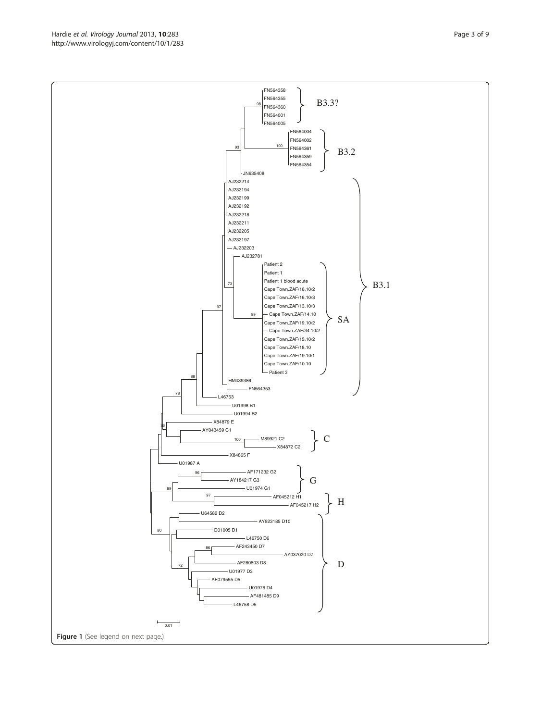FN564355 FN564360 FN564001  $\vert$ FN564005 FN564004 FN564002 FN564361 FN564359 FN564354 JN635408 AJ232214 AJ232194 AJ232199 AJ232192 AJ232218 AJ232211 AJ232205 A.1232197 AJ232203 AJ232781 Patient 2 Patient 1 Patient 1 blood acute Cape Town.ZAF/16.10/2 Cape Town.ZAF/16.10/3 Cape Town.ZAF/13.10/3 Cape Town.ZAF/14.10 Cape Town.ZAF/19.10/2  $-$  Cape Town ZAF/34.10/2 Cape Town.ZAF/15.10/2 Cape Town.ZAF/18.10 Cape Town.ZAF/19.10/1 Cape Town.ZAF/10.10 Patient 3 HM439386 FN564353 L46753 U01998 B1 U01994 B2 X84879 E AY043459 C1 M89921 C2 X84872 C2 X84865 F U01987 A AF171232 G2 AY184217 G3 U01974 G1 AF045212 H1 AF045217 H2 U64582 D2 AY923185 D10 D01005 D1 L46750 D6 AF243450 D7 AY037020 D7 100 97 86 96 89 80 36 100 78 98 88 93 97 73 99 H C G B3.1 B3.2 B3.3? SA

> AF280803 D8 U01977 D3 AF079555 D5

> > L46758 D5

72

 $0.01$ 

Figure 1 (See legend on next page.)

U01976 D4 AF481485 D9 D

FN564358

Hardie et al. Virology Journal 2013, 10:283 Page 3 of 9 http://www.virologyj.com/content/10/1/283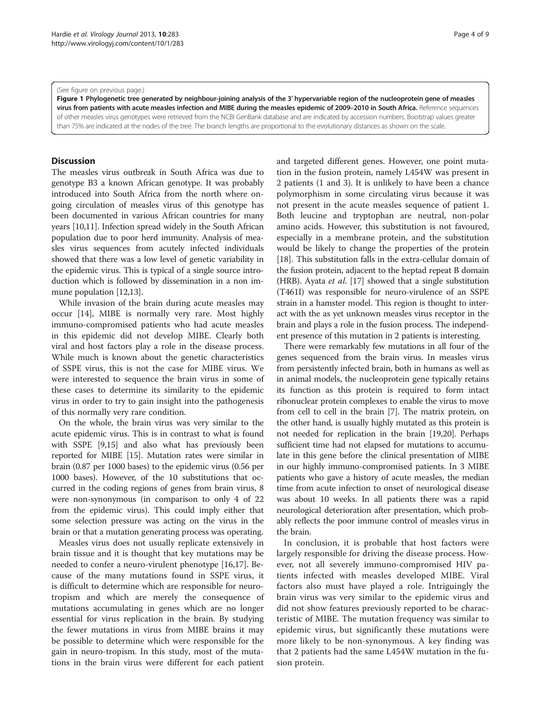#### <span id="page-3-0"></span>(See figure on previous page.)

Figure 1 Phylogenetic tree generated by neighbour-joining analysis of the 3′ hypervariable region of the nucleoprotein gene of measles virus from patients with acute measles infection and MIBE during the measles epidemic of 2009–2010 in South Africa. Reference sequences of other measles virus genotypes were retrieved from the NCBI GenBank database and are indicated by accession numbers. Bootstrap values greater than 75% are indicated at the nodes of the tree. The branch lengths are proportional to the evolutionary distances as shown on the scale.

## **Discussion**

The measles virus outbreak in South Africa was due to genotype B3 a known African genotype. It was probably introduced into South Africa from the north where ongoing circulation of measles virus of this genotype has been documented in various African countries for many years [[10](#page-8-0),[11](#page-8-0)]. Infection spread widely in the South African population due to poor herd immunity. Analysis of measles virus sequences from acutely infected individuals showed that there was a low level of genetic variability in the epidemic virus. This is typical of a single source introduction which is followed by dissemination in a non immune population [\[12,13](#page-8-0)].

While invasion of the brain during acute measles may occur [\[14](#page-8-0)], MIBE is normally very rare. Most highly immuno-compromised patients who had acute measles in this epidemic did not develop MIBE. Clearly both viral and host factors play a role in the disease process. While much is known about the genetic characteristics of SSPE virus, this is not the case for MIBE virus. We were interested to sequence the brain virus in some of these cases to determine its similarity to the epidemic virus in order to try to gain insight into the pathogenesis of this normally very rare condition.

On the whole, the brain virus was very similar to the acute epidemic virus. This is in contrast to what is found with SSPE [[9,15](#page-8-0)] and also what has previously been reported for MIBE [\[15](#page-8-0)]. Mutation rates were similar in brain (0.87 per 1000 bases) to the epidemic virus (0.56 per 1000 bases). However, of the 10 substitutions that occurred in the coding regions of genes from brain virus, 8 were non-synonymous (in comparison to only 4 of 22 from the epidemic virus). This could imply either that some selection pressure was acting on the virus in the brain or that a mutation generating process was operating.

Measles virus does not usually replicate extensively in brain tissue and it is thought that key mutations may be needed to confer a neuro-virulent phenotype [[16,17](#page-8-0)]. Because of the many mutations found in SSPE virus, it is difficult to determine which are responsible for neurotropism and which are merely the consequence of mutations accumulating in genes which are no longer essential for virus replication in the brain. By studying the fewer mutations in virus from MIBE brains it may be possible to determine which were responsible for the gain in neuro-tropism. In this study, most of the mutations in the brain virus were different for each patient and targeted different genes. However, one point mutation in the fusion protein, namely L454W was present in 2 patients (1 and 3). It is unlikely to have been a chance

not present in the acute measles sequence of patient 1. Both leucine and tryptophan are neutral, non-polar amino acids. However, this substitution is not favoured, especially in a membrane protein, and the substitution would be likely to change the properties of the protein [[18\]](#page-8-0). This substitution falls in the extra-cellular domain of the fusion protein, adjacent to the heptad repeat B domain (HRB). Ayata et al. [[17](#page-8-0)] showed that a single substitution (T461I) was responsible for neuro-virulence of an SSPE strain in a hamster model. This region is thought to interact with the as yet unknown measles virus receptor in the brain and plays a role in the fusion process. The independent presence of this mutation in 2 patients is interesting.

polymorphism in some circulating virus because it was

There were remarkably few mutations in all four of the genes sequenced from the brain virus. In measles virus from persistently infected brain, both in humans as well as in animal models, the nucleoprotein gene typically retains its function as this protein is required to form intact ribonuclear protein complexes to enable the virus to move from cell to cell in the brain [\[7\]](#page-8-0). The matrix protein, on the other hand, is usually highly mutated as this protein is not needed for replication in the brain [\[19,20](#page-8-0)]. Perhaps sufficient time had not elapsed for mutations to accumulate in this gene before the clinical presentation of MIBE in our highly immuno-compromised patients. In 3 MIBE patients who gave a history of acute measles, the median time from acute infection to onset of neurological disease was about 10 weeks. In all patients there was a rapid neurological deterioration after presentation, which probably reflects the poor immune control of measles virus in the brain.

In conclusion, it is probable that host factors were largely responsible for driving the disease process. However, not all severely immuno-compromised HIV patients infected with measles developed MIBE. Viral factors also must have played a role. Intriguingly the brain virus was very similar to the epidemic virus and did not show features previously reported to be characteristic of MIBE. The mutation frequency was similar to epidemic virus, but significantly these mutations were more likely to be non-synonymous. A key finding was that 2 patients had the same L454W mutation in the fusion protein.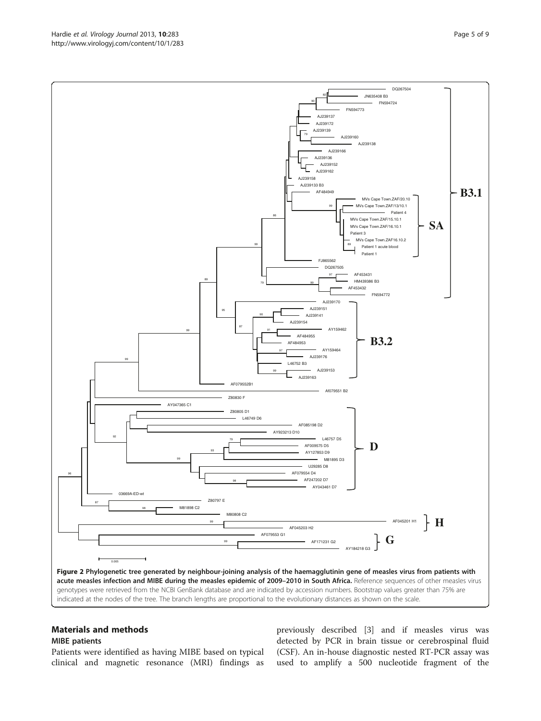<span id="page-4-0"></span>

# Materials and methods

## MIBE patients

Patients were identified as having MIBE based on typical clinical and magnetic resonance (MRI) findings as

previously described [\[3\]](#page-8-0) and if measles virus was detected by PCR in brain tissue or cerebrospinal fluid (CSF). An in-house diagnostic nested RT-PCR assay was used to amplify a 500 nucleotide fragment of the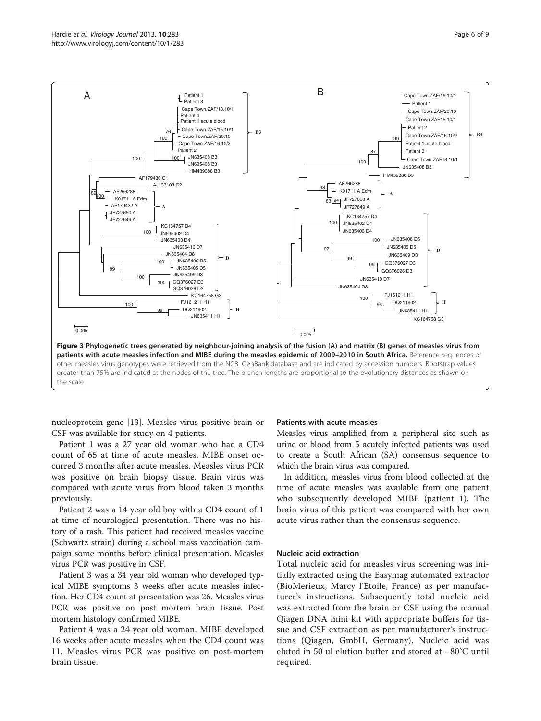<span id="page-5-0"></span>

nucleoprotein gene [\[13\]](#page-8-0). Measles virus positive brain or CSF was available for study on 4 patients.

Patient 1 was a 27 year old woman who had a CD4 count of 65 at time of acute measles. MIBE onset occurred 3 months after acute measles. Measles virus PCR was positive on brain biopsy tissue. Brain virus was compared with acute virus from blood taken 3 months previously.

Patient 2 was a 14 year old boy with a CD4 count of 1 at time of neurological presentation. There was no history of a rash. This patient had received measles vaccine (Schwartz strain) during a school mass vaccination campaign some months before clinical presentation. Measles virus PCR was positive in CSF.

Patient 3 was a 34 year old woman who developed typical MIBE symptoms 3 weeks after acute measles infection. Her CD4 count at presentation was 26. Measles virus PCR was positive on post mortem brain tissue. Post mortem histology confirmed MIBE.

Patient 4 was a 24 year old woman. MIBE developed 16 weeks after acute measles when the CD4 count was 11. Measles virus PCR was positive on post-mortem brain tissue.

## Patients with acute measles

Measles virus amplified from a peripheral site such as urine or blood from 5 acutely infected patients was used to create a South African (SA) consensus sequence to which the brain virus was compared.

In addition, measles virus from blood collected at the time of acute measles was available from one patient who subsequently developed MIBE (patient 1). The brain virus of this patient was compared with her own acute virus rather than the consensus sequence.

## Nucleic acid extraction

Total nucleic acid for measles virus screening was initially extracted using the Easymag automated extractor (BioMerieux, Marcy l'Etoile, France) as per manufacturer's instructions. Subsequently total nucleic acid was extracted from the brain or CSF using the manual Qiagen DNA mini kit with appropriate buffers for tissue and CSF extraction as per manufacturer's instructions (Qiagen, GmbH, Germany). Nucleic acid was eluted in 50 ul elution buffer and stored at −80°C until required.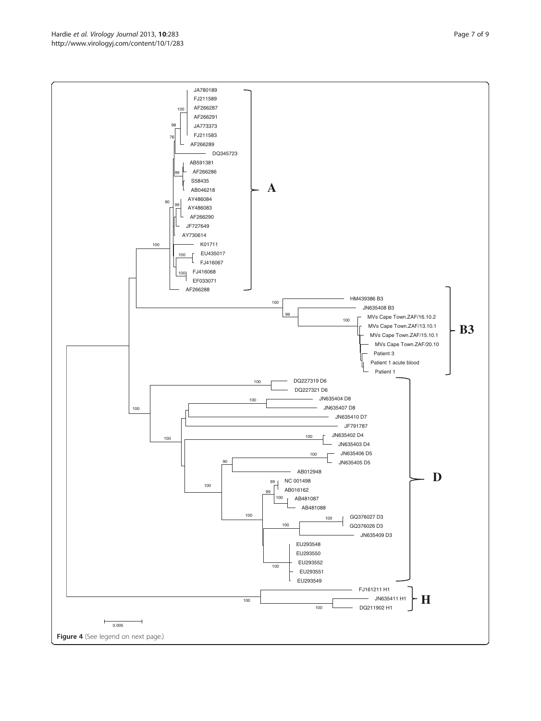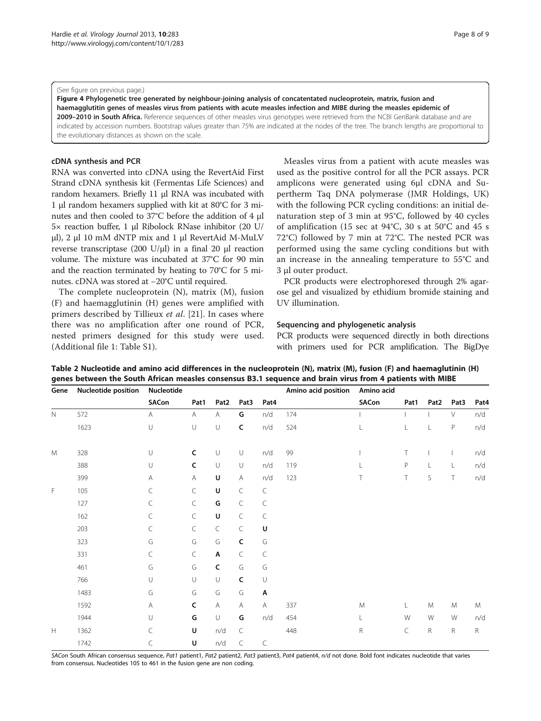#### <span id="page-7-0"></span>(See figure on previous page.)

Figure 4 Phylogenetic tree generated by neighbour-joining analysis of concatentated nucleoprotein, matrix, fusion and haemagglutitin genes of measles virus from patients with acute measles infection and MIBE during the measles epidemic of 2009-2010 in South Africa. Reference sequences of other measles virus genotypes were retrieved from the NCBI GenBank database and are indicated by accession numbers. Bootstrap values greater than 75% are indicated at the nodes of the tree. The branch lengths are proportional to the evolutionary distances as shown on the scale.

## cDNA synthesis and PCR

RNA was converted into cDNA using the RevertAid First Strand cDNA synthesis kit (Fermentas Life Sciences) and random hexamers. Briefly 11 μl RNA was incubated with 1 μl random hexamers supplied with kit at 80°C for 3 minutes and then cooled to 37°C before the addition of 4 μl 5× reaction buffer, 1 μl Ribolock RNase inhibitor (20 U/ μl), 2 μl 10 mM dNTP mix and 1 μl RevertAid M-MuLV reverse transcriptase (200 U/μl) in a final 20 μl reaction volume. The mixture was incubated at 37°C for 90 min and the reaction terminated by heating to 70°C for 5 minutes. cDNA was stored at −20°C until required.

The complete nucleoprotein (N), matrix (M), fusion (F) and haemagglutinin (H) genes were amplified with primers described by Tillieux et al. [\[21](#page-8-0)]. In cases where there was no amplification after one round of PCR, nested primers designed for this study were used. (Additional file [1](#page-8-0): Table S1).

Measles virus from a patient with acute measles was used as the positive control for all the PCR assays. PCR amplicons were generated using 6μl cDNA and Supertherm Taq DNA polymerase (JMR Holdings, UK) with the following PCR cycling conditions: an initial denaturation step of 3 min at 95°C, followed by 40 cycles of amplification (15 sec at 94°C, 30 s at 50°C and 45 s 72°C) followed by 7 min at 72°C. The nested PCR was performed using the same cycling conditions but with an increase in the annealing temperature to 55°C and 3 μl outer product.

PCR products were electrophoresed through 2% agarose gel and visualized by ethidium bromide staining and UV illumination.

## Sequencing and phylogenetic analysis

PCR products were sequenced directly in both directions with primers used for PCR amplification. The BigDye

| Gene                                                              | Nucleotide position | Nucleotide |              |                  |              |           | Amino acid position | Amino acid   |             |                  |             |      |
|-------------------------------------------------------------------|---------------------|------------|--------------|------------------|--------------|-----------|---------------------|--------------|-------------|------------------|-------------|------|
|                                                                   |                     | SACon      | Pat1         | Pat <sub>2</sub> | Pat3         | Pat4      |                     | SACon        | Pat1        | Pat <sub>2</sub> | Pat3        | Pat4 |
| $\mathbb N$                                                       | 572                 | A          | Α            | A                | G            | n/d       | 174                 |              |             |                  | V           | n/d  |
|                                                                   | 1623                | U          | U            | $\cup$           | $\mathsf{C}$ | n/d       | 524                 | L            | L           | L                | $\mathsf P$ | n/d  |
| M                                                                 | 328                 | U          | $\mathsf{C}$ | $\cup$           | $\cup$       | n/d       | 99                  |              | T           |                  |             | n/d  |
|                                                                   | 388                 | $\cup$     | $\mathsf{C}$ | $\cup$           | U            | n/d       | 119                 | $\mathbf{L}$ | $\mathsf P$ | L                | L           | n/d  |
|                                                                   | 399                 | Α          | Α            | U                | A            | n/d       | 123                 | Τ            | Τ           | $\mathsf S$      | Τ           | n/d  |
| F                                                                 | 105                 | C          | $\subset$    | U                | $\subset$    | $\subset$ |                     |              |             |                  |             |      |
|                                                                   | 127                 | C          | $\subset$    | G                | $\subset$    | $\subset$ |                     |              |             |                  |             |      |
|                                                                   | 162                 | C          | C            | $\sf U$          | $\subset$    | $\subset$ |                     |              |             |                  |             |      |
|                                                                   | 203                 | $\subset$  | $\subset$    | $\subset$        | $\subset$    | U         |                     |              |             |                  |             |      |
|                                                                   | 323                 | G          | G            | G                | C            | G         |                     |              |             |                  |             |      |
|                                                                   | 331                 | $\subset$  | $\subset$    | Α                | $\subset$    | $\subset$ |                     |              |             |                  |             |      |
|                                                                   | 461                 | G          | G            | $\mathsf{C}$     | G            | G         |                     |              |             |                  |             |      |
|                                                                   | 766                 | U          | U            | U                | $\mathsf{C}$ | $\cup$    |                     |              |             |                  |             |      |
|                                                                   | 1483                | G          | G            | G                | G            | Α         |                     |              |             |                  |             |      |
|                                                                   | 1592                | Α          | C            | $\mathsf{A}$     | A            | Α         | 337                 | M            | L           | M                | M           | M    |
|                                                                   | 1944                | $\cup$     | G            | $\cup$           | G            | n/d       | 454                 | L            | W           | W                | W           | n/d  |
| $\mathsf{H}% _{\mathsf{H}}^{\ast}=\mathsf{H}_{\mathsf{H}}^{\ast}$ | 1362                | C          | U            | n/d              | $\subset$    |           | 448                 | R            | C           | $\mathsf R$      | R           | R    |
|                                                                   | 1742                | C          | U            | $n/d$            | $\subset$    | $\subset$ |                     |              |             |                  |             |      |

Table 2 Nucleotide and amino acid differences in the nucleoprotein (N), matrix (M), fusion (F) and haemaglutinin (H) genes between the South African measles consensus B3.1 sequence and brain virus from 4 patients with MIBE

SACon South African consensus sequence, Pat1 patient1, Pat2 patient2, Pat3 patient3, Pat4 patient4, n/d not done. Bold font indicates nucleotide that varies from consensus. Nucleotides 105 to 461 in the fusion gene are non coding.